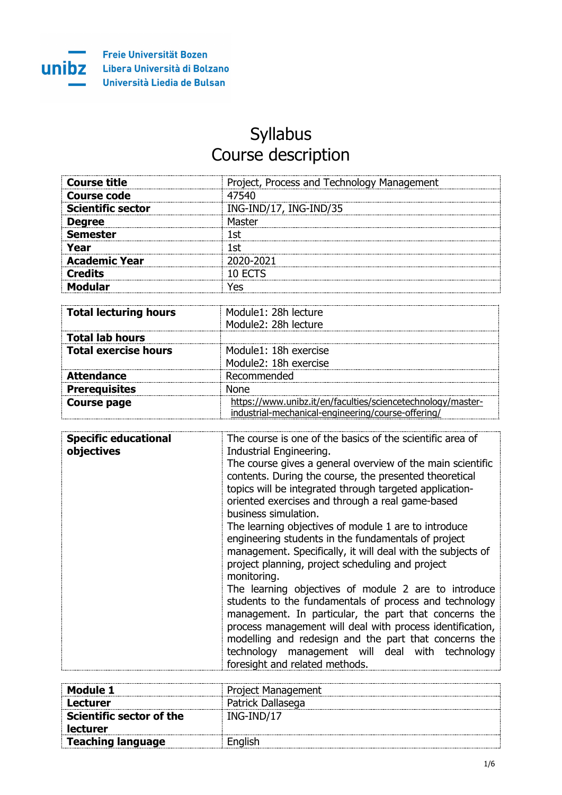unibz

## Syllabus Course description

| <b>Course title</b><br>------------------------------------ | Project, Process and Technology Management |
|-------------------------------------------------------------|--------------------------------------------|
| Course code                                                 | 7540                                       |
| <b>Scientific sector</b>                                    | ING-IND/17, ING-IND/35                     |
| <b>Degree</b>                                               | uastar:                                    |
| Semester                                                    | .Ct                                        |
| Year                                                        |                                            |
| <b>Academic Year</b>                                        | 2020-2021                                  |
| Credits                                                     | IN FCTS                                    |
|                                                             | ′ ∩כ                                       |

| <b>Total lecturing hours</b> | Module1: 28h lecture<br>Module2: 28h lecture                                                                    |
|------------------------------|-----------------------------------------------------------------------------------------------------------------|
| <b>Total lab hours</b>       |                                                                                                                 |
| <b>Total exercise hours</b>  | Module1: 18h exercise<br>Module2: 18h exercise                                                                  |
| <b>Attendance</b>            | Recommended                                                                                                     |
| <b>Prerequisites</b>         | None                                                                                                            |
| <b>Course page</b>           | tps://www.unibz.it/en/faculties/sciencetechnology/master-<br>industrial-mechanical-engineering/course-offering/ |

| The course is one of the basics of the scientific area of<br><b>Specific educational</b><br>objectives<br>Industrial Engineering.<br>The course gives a general overview of the main scientific<br>contents. During the course, the presented theoretical<br>topics will be integrated through targeted application-<br>oriented exercises and through a real game-based<br>business simulation.<br>The learning objectives of module 1 are to introduce<br>engineering students in the fundamentals of project<br>management. Specifically, it will deal with the subjects of<br>project planning, project scheduling and project<br>monitoring.<br>The learning objectives of module 2 are to introduce<br>students to the fundamentals of process and technology<br>management. In particular, the part that concerns the<br>process management will deal with process identification,<br>modelling and redesign and the part that concerns the<br>technology management will deal with technology<br>foresight and related methods. |
|-----------------------------------------------------------------------------------------------------------------------------------------------------------------------------------------------------------------------------------------------------------------------------------------------------------------------------------------------------------------------------------------------------------------------------------------------------------------------------------------------------------------------------------------------------------------------------------------------------------------------------------------------------------------------------------------------------------------------------------------------------------------------------------------------------------------------------------------------------------------------------------------------------------------------------------------------------------------------------------------------------------------------------------------|
|                                                                                                                                                                                                                                                                                                                                                                                                                                                                                                                                                                                                                                                                                                                                                                                                                                                                                                                                                                                                                                         |

| Module 1                 | Project Management |
|--------------------------|--------------------|
| Lecturer                 | Patrick Dallasega  |
| Scientific sector of the | ING-IND/17         |
| <b>lecturer</b>          |                    |
| <b>Teaching language</b> | English            |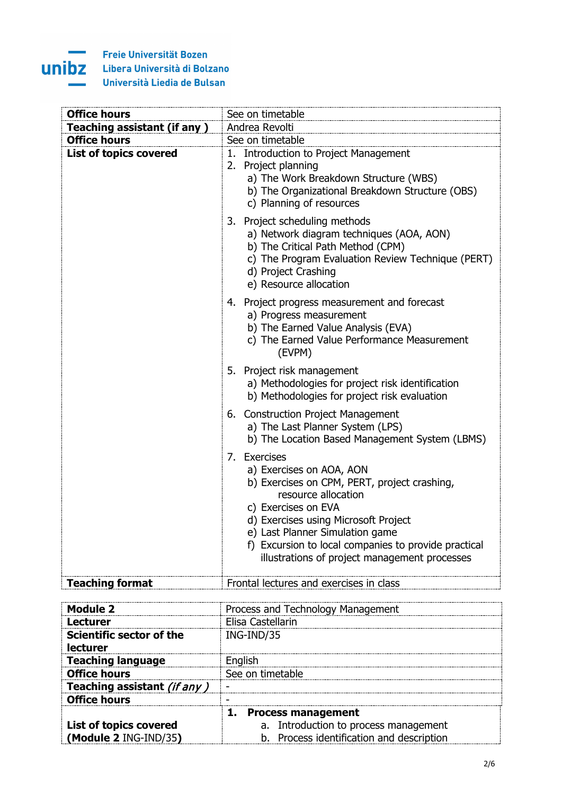## Î. unibz

۰

| <b>Office hours</b>                | See on timetable                                                                                                                                                                                                                                                                                                           |  |  |
|------------------------------------|----------------------------------------------------------------------------------------------------------------------------------------------------------------------------------------------------------------------------------------------------------------------------------------------------------------------------|--|--|
| <b>Teaching assistant (if any)</b> | Andrea Revolti                                                                                                                                                                                                                                                                                                             |  |  |
| <b>Office hours</b>                | See on timetable                                                                                                                                                                                                                                                                                                           |  |  |
| <b>List of topics covered</b>      | 1. Introduction to Project Management<br>2. Project planning<br>a) The Work Breakdown Structure (WBS)<br>b) The Organizational Breakdown Structure (OBS)<br>c) Planning of resources                                                                                                                                       |  |  |
|                                    | 3. Project scheduling methods<br>a) Network diagram techniques (AOA, AON)<br>b) The Critical Path Method (CPM)<br>c) The Program Evaluation Review Technique (PERT)<br>d) Project Crashing<br>e) Resource allocation                                                                                                       |  |  |
|                                    | 4. Project progress measurement and forecast<br>a) Progress measurement<br>b) The Earned Value Analysis (EVA)<br>c) The Earned Value Performance Measurement<br>(EVPM)                                                                                                                                                     |  |  |
|                                    | 5. Project risk management<br>a) Methodologies for project risk identification<br>b) Methodologies for project risk evaluation                                                                                                                                                                                             |  |  |
|                                    | 6. Construction Project Management<br>a) The Last Planner System (LPS)<br>b) The Location Based Management System (LBMS)                                                                                                                                                                                                   |  |  |
|                                    | 7. Exercises<br>a) Exercises on AOA, AON<br>b) Exercises on CPM, PERT, project crashing,<br>resource allocation<br>c) Exercises on EVA<br>d) Exercises using Microsoft Project<br>e) Last Planner Simulation game<br>f) Excursion to local companies to provide practical<br>illustrations of project management processes |  |  |
| <b>Teaching format</b>             | Frontal lectures and exercises in class                                                                                                                                                                                                                                                                                    |  |  |

| Module 2                                    | Process and Technology Management         |  |  |
|---------------------------------------------|-------------------------------------------|--|--|
| Lecturer                                    | Elisa Castellarin                         |  |  |
| <b>Scientific sector of the</b><br>lecturer | ING-IND/35                                |  |  |
| <b>Teaching language</b>                    | Fnalish                                   |  |  |
| <b>Office hours</b>                         | See on timetable                          |  |  |
| Teaching assistant (if any)                 |                                           |  |  |
| <b>Office hours</b>                         |                                           |  |  |
|                                             | <b>Process management</b>                 |  |  |
| List of topics covered                      | a. Introduction to process management     |  |  |
| (Module 2 ING-IND/35)                       | b. Process identification and description |  |  |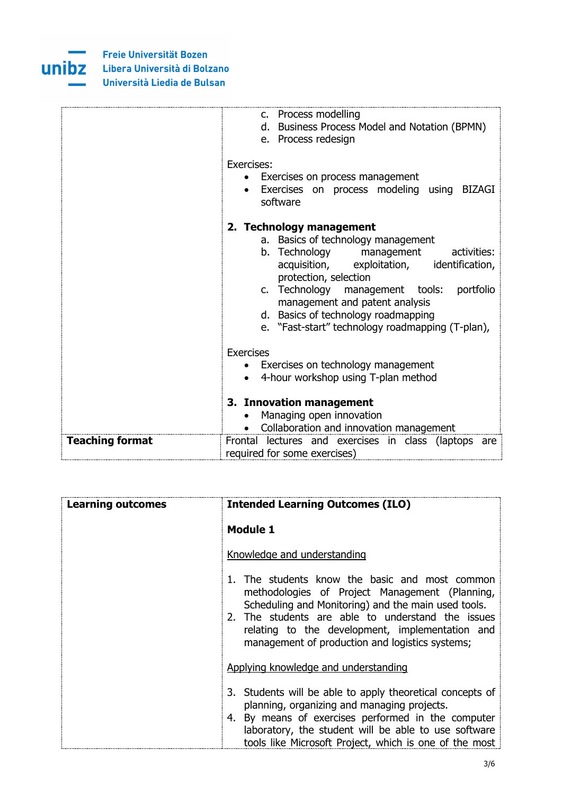

|                        | c. Process modelling<br>d. Business Process Model and Notation (BPMN)<br>e. Process redesign<br>Exercises:<br>• Exercises on process management                                                                                                                                                                                                               |
|------------------------|---------------------------------------------------------------------------------------------------------------------------------------------------------------------------------------------------------------------------------------------------------------------------------------------------------------------------------------------------------------|
|                        | Exercises on process modeling using BIZAGI<br>$\bullet$<br>software                                                                                                                                                                                                                                                                                           |
|                        | 2. Technology management<br>a. Basics of technology management<br>b. Technology management<br>activities:<br>acquisition, exploitation, identification,<br>protection, selection<br>c. Technology management tools:<br>portfolio<br>management and patent analysis<br>d. Basics of technology roadmapping<br>e. "Fast-start" technology roadmapping (T-plan), |
|                        | <b>Exercises</b><br>• Exercises on technology management<br>4-hour workshop using T-plan method<br>3. Innovation management                                                                                                                                                                                                                                   |
|                        | Managing open innovation<br>Collaboration and innovation management                                                                                                                                                                                                                                                                                           |
| <b>Teaching format</b> | Frontal lectures and exercises in class (laptops are<br>required for some exercises)                                                                                                                                                                                                                                                                          |

| <b>Learning outcomes</b> | <b>Intended Learning Outcomes (ILO)</b>                                                                                                                                                                                                                                                                            |
|--------------------------|--------------------------------------------------------------------------------------------------------------------------------------------------------------------------------------------------------------------------------------------------------------------------------------------------------------------|
|                          | <b>Module 1</b>                                                                                                                                                                                                                                                                                                    |
|                          | Knowledge and understanding                                                                                                                                                                                                                                                                                        |
|                          | 1. The students know the basic and most common<br>methodologies of Project Management (Planning,<br>Scheduling and Monitoring) and the main used tools.<br>2. The students are able to understand the issues<br>relating to the development, implementation and<br>management of production and logistics systems; |
|                          | Applying knowledge and understanding                                                                                                                                                                                                                                                                               |
|                          | 3. Students will be able to apply theoretical concepts of<br>planning, organizing and managing projects.<br>4. By means of exercises performed in the computer<br>laboratory, the student will be able to use software<br>tools like Microsoft Project, which is one of the most                                   |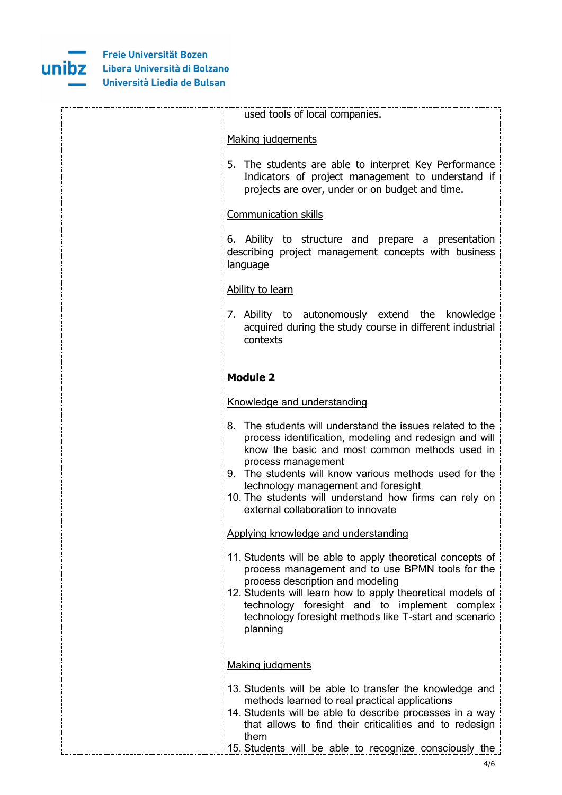

| used tools of local companies.                                                                                                                                                                                                                                                                                                                                                               |
|----------------------------------------------------------------------------------------------------------------------------------------------------------------------------------------------------------------------------------------------------------------------------------------------------------------------------------------------------------------------------------------------|
| Making judgements                                                                                                                                                                                                                                                                                                                                                                            |
| 5. The students are able to interpret Key Performance<br>Indicators of project management to understand if<br>projects are over, under or on budget and time.                                                                                                                                                                                                                                |
| <b>Communication skills</b>                                                                                                                                                                                                                                                                                                                                                                  |
| 6. Ability to structure and prepare a presentation<br>describing project management concepts with business<br>language                                                                                                                                                                                                                                                                       |
| Ability to learn                                                                                                                                                                                                                                                                                                                                                                             |
| 7. Ability to autonomously extend the knowledge<br>acquired during the study course in different industrial<br>contexts                                                                                                                                                                                                                                                                      |
| <b>Module 2</b>                                                                                                                                                                                                                                                                                                                                                                              |
| Knowledge and understanding                                                                                                                                                                                                                                                                                                                                                                  |
| 8. The students will understand the issues related to the<br>process identification, modeling and redesign and will<br>know the basic and most common methods used in<br>process management<br>9. The students will know various methods used for the<br>technology management and foresight<br>10. The students will understand how firms can rely on<br>external collaboration to innovate |
| Applying knowledge and understanding                                                                                                                                                                                                                                                                                                                                                         |
| 11. Students will be able to apply theoretical concepts of<br>process management and to use BPMN tools for the<br>process description and modeling<br>12. Students will learn how to apply theoretical models of<br>technology foresight and to implement complex<br>technology foresight methods like T-start and scenario<br>planning                                                      |
| <b>Making judgments</b>                                                                                                                                                                                                                                                                                                                                                                      |
| 13. Students will be able to transfer the knowledge and<br>methods learned to real practical applications<br>14. Students will be able to describe processes in a way<br>that allows to find their criticalities and to redesign<br>them<br>15. Students will be able to recognize consciously the                                                                                           |
|                                                                                                                                                                                                                                                                                                                                                                                              |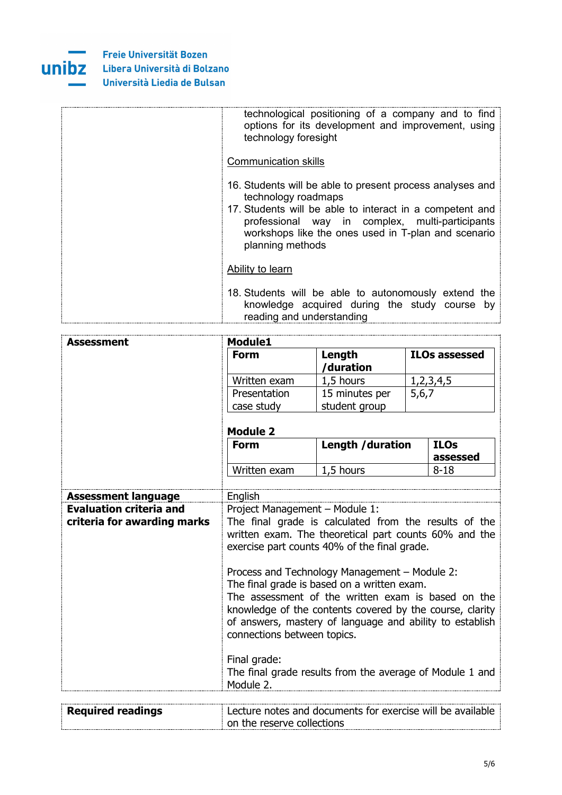

| technological positioning of a company and to find<br>options for its development and improvement, using<br>technology foresight                                                                                                                                           |
|----------------------------------------------------------------------------------------------------------------------------------------------------------------------------------------------------------------------------------------------------------------------------|
| <b>Communication skills</b>                                                                                                                                                                                                                                                |
| 16. Students will be able to present process analyses and<br>technology roadmaps<br>17. Students will be able to interact in a competent and<br>professional way in complex, multi-participants<br>workshops like the ones used in T-plan and scenario<br>planning methods |
| Ability to learn                                                                                                                                                                                                                                                           |
| 18. Students will be able to autonomously extend the<br>knowledge acquired during the study course by<br>reading and understanding                                                                                                                                         |

| Assessment                                                    | <b>Module1</b>                                                                                                                                                                                                                                                                                                                                                                                                                                                                                                |                                                          |                         |
|---------------------------------------------------------------|---------------------------------------------------------------------------------------------------------------------------------------------------------------------------------------------------------------------------------------------------------------------------------------------------------------------------------------------------------------------------------------------------------------------------------------------------------------------------------------------------------------|----------------------------------------------------------|-------------------------|
|                                                               | <b>Form</b>                                                                                                                                                                                                                                                                                                                                                                                                                                                                                                   | Length<br>/duration                                      | <b>ILOs assessed</b>    |
|                                                               | Written exam                                                                                                                                                                                                                                                                                                                                                                                                                                                                                                  | 1,5 hours                                                | 1, 2, 3, 4, 5           |
|                                                               | Presentation                                                                                                                                                                                                                                                                                                                                                                                                                                                                                                  | 15 minutes per                                           | 5,6,7                   |
|                                                               | case study                                                                                                                                                                                                                                                                                                                                                                                                                                                                                                    | student group                                            |                         |
|                                                               | <b>Module 2</b>                                                                                                                                                                                                                                                                                                                                                                                                                                                                                               |                                                          |                         |
|                                                               | <b>Form</b>                                                                                                                                                                                                                                                                                                                                                                                                                                                                                                   | Length / duration                                        | <b>ILOs</b><br>assessed |
|                                                               | Written exam                                                                                                                                                                                                                                                                                                                                                                                                                                                                                                  | 1,5 hours                                                | $8 - 18$                |
|                                                               |                                                                                                                                                                                                                                                                                                                                                                                                                                                                                                               |                                                          |                         |
| <b>Assessment language</b>                                    | English                                                                                                                                                                                                                                                                                                                                                                                                                                                                                                       |                                                          |                         |
| <b>Evaluation criteria and</b><br>criteria for awarding marks | Project Management - Module 1:<br>The final grade is calculated from the results of the<br>written exam. The theoretical part counts 60% and the<br>exercise part counts 40% of the final grade.<br>Process and Technology Management - Module 2:<br>The final grade is based on a written exam.<br>The assessment of the written exam is based on the<br>knowledge of the contents covered by the course, clarity<br>of answers, mastery of language and ability to establish<br>connections between topics. |                                                          |                         |
|                                                               | Final grade:<br>Module 2.                                                                                                                                                                                                                                                                                                                                                                                                                                                                                     | The final grade results from the average of Module 1 and |                         |

| <b>Required readings</b> | <b>Lecture notes and documents for exercise will be available</b> |
|--------------------------|-------------------------------------------------------------------|
|                          | $\pm$ on the reserve collections                                  |